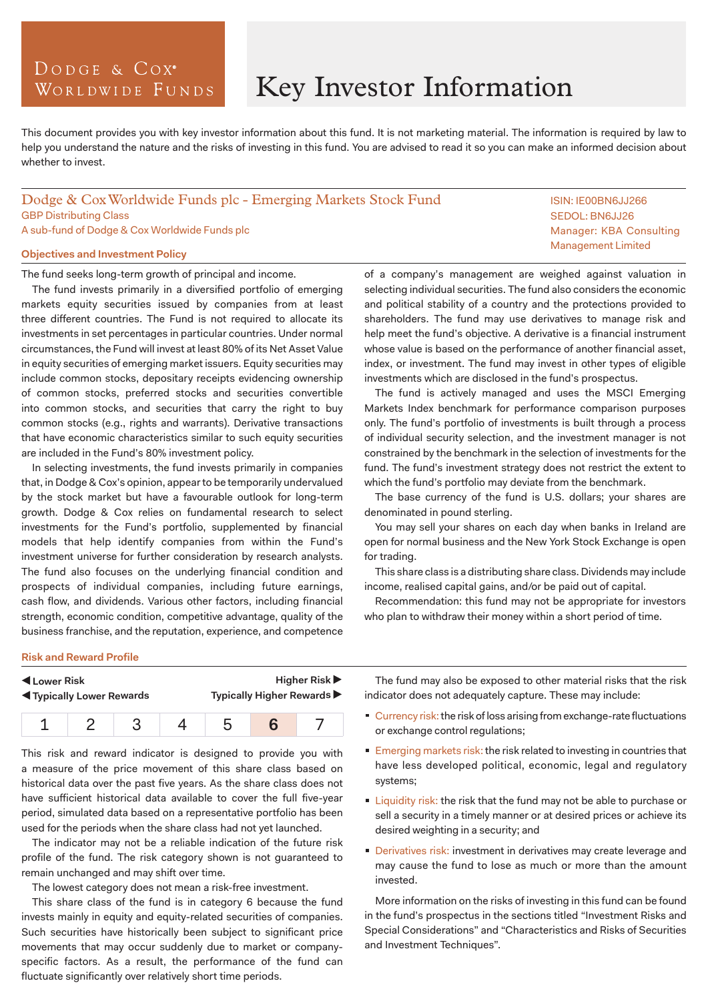# DODGE & COX<sup>°</sup> WORLDWIDE FUNDS

# Key Investor Information

This document provides you with key investor information about this fund. It is not marketing material. The information is required by law to help you understand the nature and the risks of investing in this fund. You are advised to read it so you can make an informed decision about whether to invest.

# Dodge & Cox Worldwide Funds plc - Emerging Markets Stock Fund GBP Distributing Class A sub-fund of Dodge & Cox Worldwide Funds plc

## **Objectives and Investment Policy**

The fund seeks long-term growth of principal and income.

The fund invests primarily in a diversified portfolio of emerging markets equity securities issued by companies from at least three different countries. The Fund is not required to allocate its investments in set percentages in particular countries. Under normal circumstances, the Fund will invest at least 80% of its Net Asset Value in equity securities of emerging market issuers. Equity securities may include common stocks, depositary receipts evidencing ownership of common stocks, preferred stocks and securities convertible into common stocks, and securities that carry the right to buy common stocks (e.g., rights and warrants). Derivative transactions that have economic characteristics similar to such equity securities are included in the Fund's 80% investment policy.

In selecting investments, the fund invests primarily in companies that, in Dodge & Cox's opinion, appear to be temporarily undervalued by the stock market but have a favourable outlook for long-term growth. Dodge & Cox relies on fundamental research to select investments for the Fund's portfolio, supplemented by financial models that help identify companies from within the Fund's investment universe for further consideration by research analysts. The fund also focuses on the underlying financial condition and prospects of individual companies, including future earnings, cash flow, and dividends. Various other factors, including financial strength, economic condition, competitive advantage, quality of the business franchise, and the reputation, experience, and competence

of a company's management are weighed against valuation in selecting individual securities. The fund also considers the economic and political stability of a country and the protections provided to shareholders. The fund may use derivatives to manage risk and help meet the fund's objective. A derivative is a financial instrument whose value is based on the performance of another financial asset, index, or investment. The fund may invest in other types of eligible investments which are disclosed in the fund's prospectus.

The fund is actively managed and uses the MSCI Emerging Markets Index benchmark for performance comparison purposes only. The fund's portfolio of investments is built through a process of individual security selection, and the investment manager is not constrained by the benchmark in the selection of investments for the fund. The fund's investment strategy does not restrict the extent to which the fund's portfolio may deviate from the benchmark.

The base currency of the fund is U.S. dollars; your shares are denominated in pound sterling.

You may sell your shares on each day when banks in Ireland are open for normal business and the New York Stock Exchange is open for trading.

This share class is a distributing share class. Dividends may include income, realised capital gains, and/or be paid out of capital.

Recommendation: this fund may not be appropriate for investors who plan to withdraw their money within a short period of time.

#### **Risk and Reward Profile**

| Lower Risk                       |  |  |  | <b>Higher Risk ▶</b>       |  |  |
|----------------------------------|--|--|--|----------------------------|--|--|
| <b>K</b> Typically Lower Rewards |  |  |  | Typically Higher Rewards ▶ |  |  |
|                                  |  |  |  |                            |  |  |

This risk and reward indicator is designed to provide you with a measure of the price movement of this share class based on historical data over the past five years. As the share class does not have sufficient historical data available to cover the full five-year period, simulated data based on a representative portfolio has been used for the periods when the share class had not yet launched.

The indicator may not be a reliable indication of the future risk profile of the fund. The risk category shown is not guaranteed to remain unchanged and may shift over time.

The lowest category does not mean a risk-free investment.

This share class of the fund is in category 6 because the fund invests mainly in equity and equity-related securities of companies. Such securities have historically been subject to significant price movements that may occur suddenly due to market or companyspecific factors. As a result, the performance of the fund can fluctuate significantly over relatively short time periods.

The fund may also be exposed to other material risks that the risk indicator does not adequately capture. These may include:

- Currency risk: the risk of loss arising from exchange-rate fluctuations or exchange control regulations;
- **Emerging markets risk: the risk related to investing in countries that** have less developed political, economic, legal and regulatory systems;
- **Liquidity risk: the risk that the fund may not be able to purchase or** sell a security in a timely manner or at desired prices or achieve its desired weighting in a security; and
- Derivatives risk: investment in derivatives may create leverage and may cause the fund to lose as much or more than the amount invested.

More information on the risks of investing in this fund can be found in the fund's prospectus in the sections titled "Investment Risks and Special Considerations" and "Characteristics and Risks of Securities and Investment Techniques".

ISIN: IE00BN6JJ266 SEDOL: BN6JJ26 Manager: KBA Consulting Management Limited